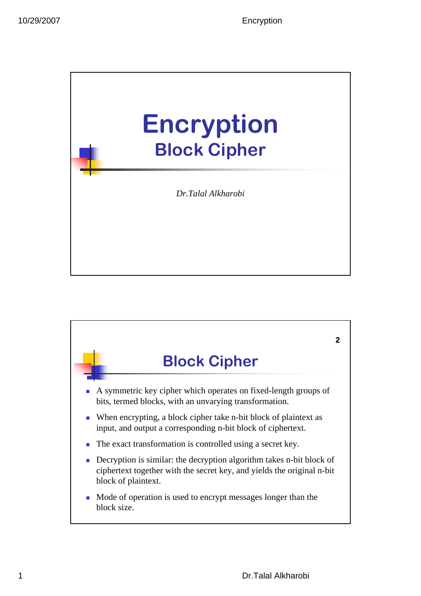

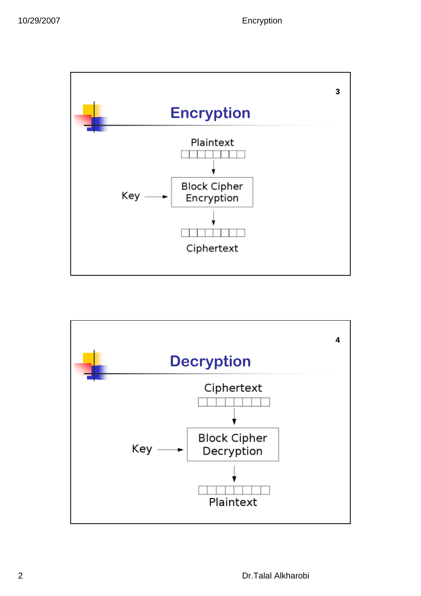

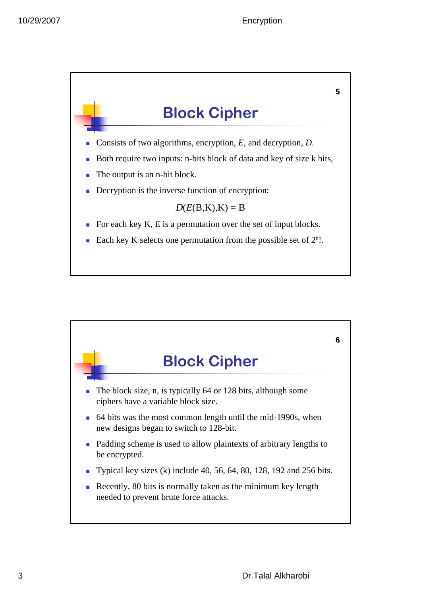

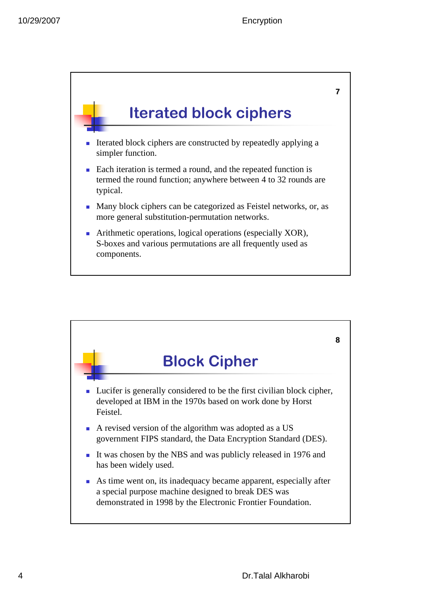

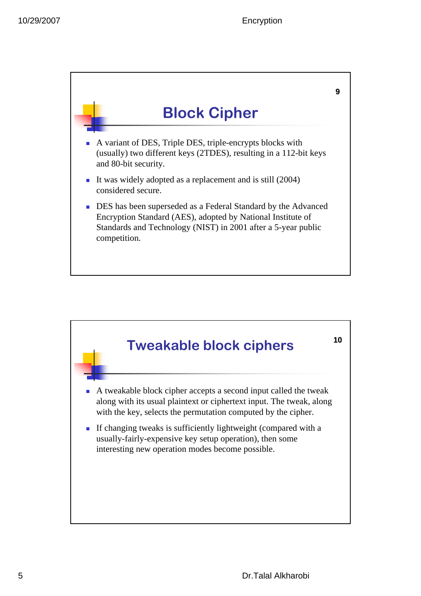